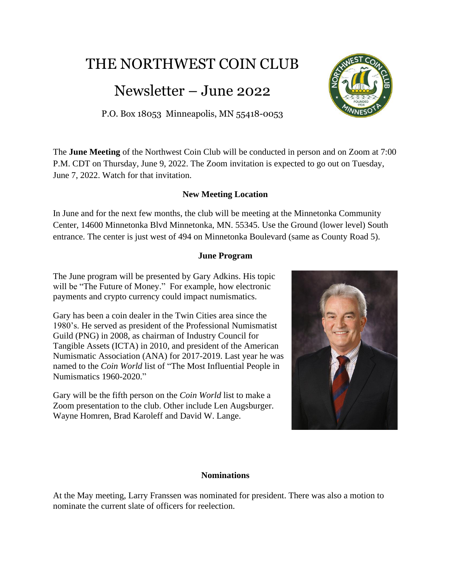# THE NORTHWEST COIN CLUB

# Newsletter – June 2022

# P.O. Box 18053 Minneapolis, MN 55418-0053

The **June Meeting** of the Northwest Coin Club will be conducted in person and on Zoom at 7:00 P.M. CDT on Thursday, June 9, 2022. The Zoom invitation is expected to go out on Tuesday, June 7, 2022. Watch for that invitation.

# **New Meeting Location**

In June and for the next few months, the club will be meeting at the Minnetonka Community Center, 14600 Minnetonka Blvd Minnetonka, MN. 55345. Use the Ground (lower level) South entrance. The center is just west of 494 on Minnetonka Boulevard (same as County Road 5).

#### **June Program**

The June program will be presented by Gary Adkins. His topic will be "The Future of Money." For example, how electronic payments and crypto currency could impact numismatics.

Gary has been a coin dealer in the Twin Cities area since the 1980's. He served as president of the Professional Numismatist Guild (PNG) in 2008, as chairman of Industry Council for Tangible Assets (ICTA) in 2010, and president of the American Numismatic Association (ANA) for 2017-2019. Last year he was named to the *Coin World* list of "The Most Influential People in Numismatics 1960-2020."

Gary will be the fifth person on the *Coin World* list to make a Zoom presentation to the club. Other include Len Augsburger. Wayne Homren, Brad Karoleff and David W. Lange.



#### **Nominations**

At the May meeting, Larry Franssen was nominated for president. There was also a motion to nominate the current slate of officers for reelection.

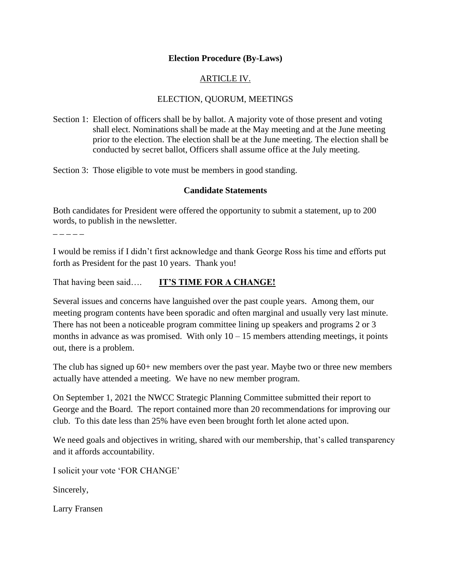## **Election Procedure (By-Laws)**

# ARTICLE IV.

## ELECTION, QUORUM, MEETINGS

Section 1: Election of officers shall be by ballot. A majority vote of those present and voting shall elect. Nominations shall be made at the May meeting and at the June meeting prior to the election. The election shall be at the June meeting. The election shall be conducted by secret ballot, Officers shall assume office at the July meeting.

Section 3: Those eligible to vote must be members in good standing.

### **Candidate Statements**

Both candidates for President were offered the opportunity to submit a statement, up to 200 words, to publish in the newsletter.

 $- - - - -$ 

I would be remiss if I didn't first acknowledge and thank George Ross his time and efforts put forth as President for the past 10 years. Thank you!

That having been said…. **IT'S TIME FOR A CHANGE!**

Several issues and concerns have languished over the past couple years. Among them, our meeting program contents have been sporadic and often marginal and usually very last minute. There has not been a noticeable program committee lining up speakers and programs 2 or 3 months in advance as was promised. With only  $10 - 15$  members attending meetings, it points out, there is a problem.

The club has signed up 60+ new members over the past year. Maybe two or three new members actually have attended a meeting. We have no new member program.

On September 1, 2021 the NWCC Strategic Planning Committee submitted their report to George and the Board. The report contained more than 20 recommendations for improving our club. To this date less than 25% have even been brought forth let alone acted upon.

We need goals and objectives in writing, shared with our membership, that's called transparency and it affords accountability.

I solicit your vote 'FOR CHANGE'

Sincerely,

Larry Fransen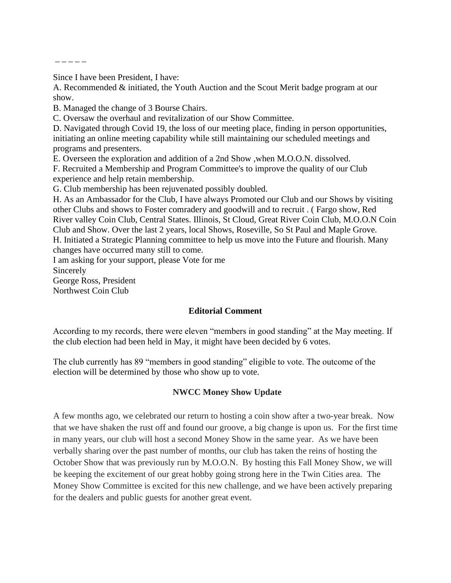$- - - - -$ 

Since I have been President, I have:

A. Recommended & initiated, the Youth Auction and the Scout Merit badge program at our show.

B. Managed the change of 3 Bourse Chairs.

C. Oversaw the overhaul and revitalization of our Show Committee.

D. Navigated through Covid 19, the loss of our meeting place, finding in person opportunities, initiating an online meeting capability while still maintaining our scheduled meetings and programs and presenters.

E. Overseen the exploration and addition of a 2nd Show ,when M.O.O.N. dissolved.

F. Recruited a Membership and Program Committee's to improve the quality of our Club experience and help retain membership.

G. Club membership has been rejuvenated possibly doubled.

H. As an Ambassador for the Club, I have always Promoted our Club and our Shows by visiting other Clubs and shows to Foster comradery and goodwill and to recruit . ( Fargo show, Red River valley Coin Club, Central States. Illinois, St Cloud, Great River Coin Club, M.O.O.N Coin Club and Show. Over the last 2 years, local Shows, Roseville, So St Paul and Maple Grove. H. Initiated a Strategic Planning committee to help us move into the Future and flourish. Many changes have occurred many still to come.

I am asking for your support, please Vote for me

Sincerely

George Ross, President

Northwest Coin Club

#### **Editorial Comment**

According to my records, there were eleven "members in good standing" at the May meeting. If the club election had been held in May, it might have been decided by 6 votes.

The club currently has 89 "members in good standing" eligible to vote. The outcome of the election will be determined by those who show up to vote.

#### **NWCC Money Show Update**

A few months ago, we celebrated our return to hosting a coin show after a two-year break. Now that we have shaken the rust off and found our groove, a big change is upon us. For the first time in many years, our club will host a second Money Show in the same year. As we have been verbally sharing over the past number of months, our club has taken the reins of hosting the October Show that was previously run by M.O.O.N. By hosting this Fall Money Show, we will be keeping the excitement of our great hobby going strong here in the Twin Cities area. The Money Show Committee is excited for this new challenge, and we have been actively preparing for the dealers and public guests for another great event.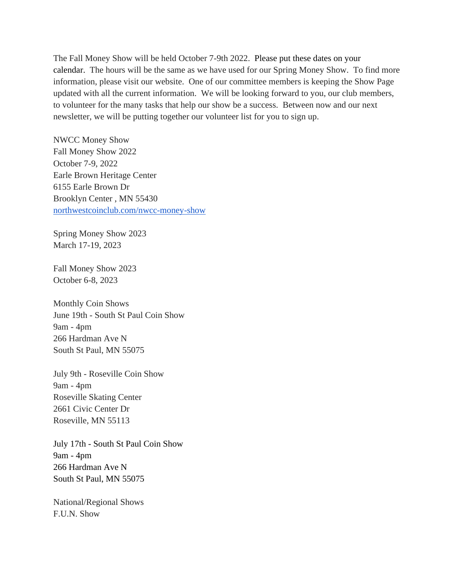The Fall Money Show will be held October 7-9th 2022. Please put these dates on your calendar. The hours will be the same as we have used for our Spring Money Show. To find more information, please visit our website. One of our committee members is keeping the Show Page updated with all the current information. We will be looking forward to you, our club members, to volunteer for the many tasks that help our show be a success. Between now and our next newsletter, we will be putting together our volunteer list for you to sign up.

NWCC Money Show Fall Money Show 2022 October 7-9, 2022 Earle Brown Heritage Center 6155 Earle Brown Dr Brooklyn Center , MN 55430 [northwestcoinclub.com/nwcc-money-show](http://northwestcoinclub.com/nwcc-money-show)

Spring Money Show 2023 March 17-19, 2023

Fall Money Show 2023 October 6-8, 2023

Monthly Coin Shows June 19th - South St Paul Coin Show 9am - 4pm 266 Hardman Ave N South St Paul, MN 55075

July 9th - Roseville Coin Show 9am - 4pm Roseville Skating Center 2661 Civic Center Dr Roseville, MN 55113

July 17th - South St Paul Coin Show 9am - 4pm 266 Hardman Ave N South St Paul, MN 55075

National/Regional Shows F.U.N. Show